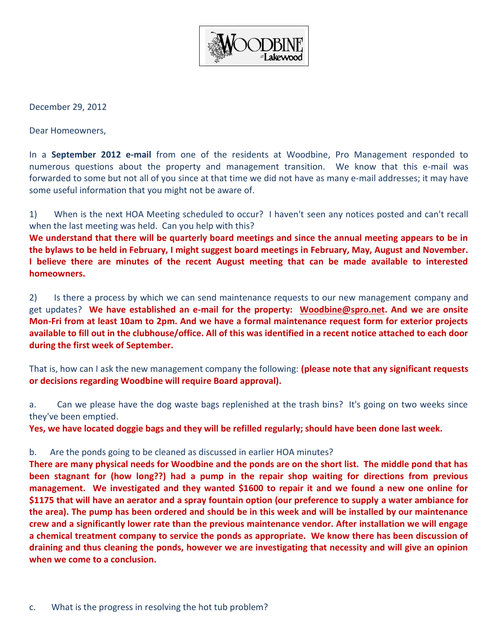

December 29, 2012

Dear Homeowners,

In a **September 2012 e-mail** from one of the residents at Woodbine, Pro Management responded to numerous questions about the property and management transition. We know that this e-mail was forwarded to some but not all of you since at that time we did not have as many e-mail addresses; it may have some useful information that you might not be aware of.

1) When is the next HOA Meeting scheduled to occur? I haven't seen any notices posted and can't recall when the last meeting was held. Can you help with this?

**We understand that there will be quarterly board meetings and since the annual meeting appears to be in the bylaws to be held in February, I might suggest board meetings in February, May, August and November. I believe there are minutes of the recent August meeting that can be made available to interested homeowners.** 

2) Is there a process by which we can send maintenance requests to our new management company and get updates? **We have established an e-mail for the property: [Woodbine@spro.net.](mailto:Woodbine@spro.net) And we are onsite Mon-Fri from at least 10am to 2pm. And we have a formal maintenance request form for exterior projects available to fill out in the clubhouse/office. All of this was identified in a recent notice attached to each door during the first week of September.**

That is, how can I ask the new management company the following: **(please note that any significant requests or decisions regarding Woodbine will require Board approval).**

a. Can we please have the dog waste bags replenished at the trash bins? It's going on two weeks since they've been emptied.

**Yes, we have located doggie bags and they will be refilled regularly; should have been done last week.**

## b. Are the ponds going to be cleaned as discussed in earlier HOA minutes?

**There are many physical needs for Woodbine and the ponds are on the short list. The middle pond that has been stagnant for (how long??) had a pump in the repair shop waiting for directions from previous management. We investigated and they wanted \$1600 to repair it and we found a new one online for \$1175 that will have an aerator and a spray fountain option (our preference to supply a water ambiance for the area). The pump has been ordered and should be in this week and will be installed by our maintenance crew and a significantly lower rate than the previous maintenance vendor. After installation we will engage a chemical treatment company to service the ponds as appropriate. We know there has been discussion of draining and thus cleaning the ponds, however we are investigating that necessity and will give an opinion when we come to a conclusion.**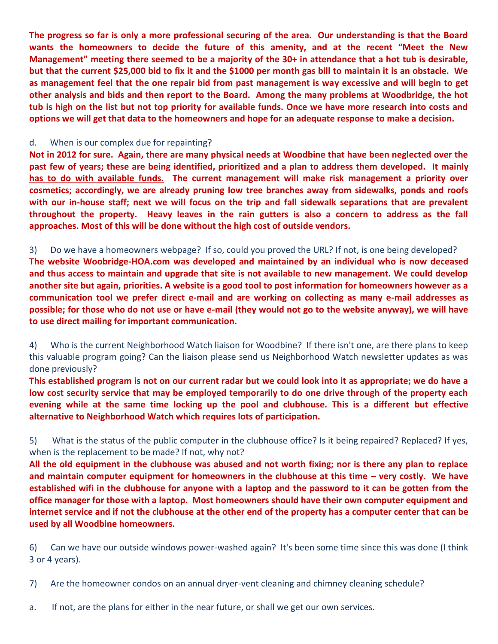**The progress so far is only a more professional securing of the area. Our understanding is that the Board wants the homeowners to decide the future of this amenity, and at the recent "Meet the New Management" meeting there seemed to be a majority of the 30+ in attendance that a hot tub is desirable, but that the current \$25,000 bid to fix it and the \$1000 per month gas bill to maintain it is an obstacle. We as management feel that the one repair bid from past management is way excessive and will begin to get other analysis and bids and then report to the Board. Among the many problems at Woodbridge, the hot tub is high on the list but not top priority for available funds. Once we have more research into costs and options we will get that data to the homeowners and hope for an adequate response to make a decision.**

## d. When is our complex due for repainting?

**to use direct mailing for important communication.**

**Not in 2012 for sure. Again, there are many physical needs at Woodbine that have been neglected over the past few of years; these are being identified, prioritized and a plan to address them developed. It mainly has to do with available funds. The current management will make risk management a priority over cosmetics; accordingly, we are already pruning low tree branches away from sidewalks, ponds and roofs with our in-house staff; next we will focus on the trip and fall sidewalk separations that are prevalent throughout the property. Heavy leaves in the rain gutters is also a concern to address as the fall approaches. Most of this will be done without the high cost of outside vendors.**

3) Do we have a homeowners webpage? If so, could you proved the URL? If not, is one being developed? **The website Woobridge-HOA.com was developed and maintained by an individual who is now deceased and thus access to maintain and upgrade that site is not available to new management. We could develop another site but again, priorities. A website is a good tool to post information for homeowners however as a communication tool we prefer direct e-mail and are working on collecting as many e-mail addresses as possible; for those who do not use or have e-mail (they would not go to the website anyway), we will have** 

4) Who is the current Neighborhood Watch liaison for Woodbine? If there isn't one, are there plans to keep this valuable program going? Can the liaison please send us Neighborhood Watch newsletter updates as was

done previously?

**This established program is not on our current radar but we could look into it as appropriate; we do have a low cost security service that may be employed temporarily to do one drive through of the property each evening while at the same time locking up the pool and clubhouse. This is a different but effective alternative to Neighborhood Watch which requires lots of participation.**

5) What is the status of the public computer in the clubhouse office? Is it being repaired? Replaced? If yes, when is the replacement to be made? If not, why not?

**All the old equipment in the clubhouse was abused and not worth fixing; nor is there any plan to replace and maintain computer equipment for homeowners in the clubhouse at this time – very costly. We have established wifi in the clubhouse for anyone with a laptop and the password to it can be gotten from the office manager for those with a laptop. Most homeowners should have their own computer equipment and internet service and if not the clubhouse at the other end of the property has a computer center that can be used by all Woodbine homeowners.**

6) Can we have our outside windows power-washed again? It's been some time since this was done (I think 3 or 4 years).

7) Are the homeowner condos on an annual dryer-vent cleaning and chimney cleaning schedule?

a. If not, are the plans for either in the near future, or shall we get our own services.